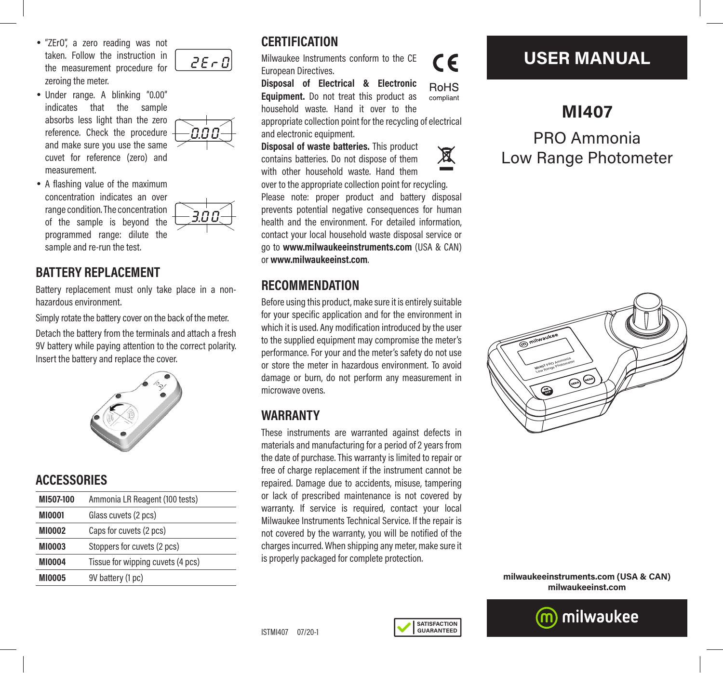- "ZErO", a zero reading was not taken. Follow the instruction in the measurement procedure for zeroing the meter.
- Under range. A blinking "0.00" indicates that the sample absorbs less light than the zero reference. Check the procedure and make sure you use the same cuvet for reference (zero) and measurement.
- A flashing value of the maximum concentration indicates an over range condition. The concentration of the sample is beyond the programmed range: dilute the sample and re-run the test.

### **BATTERY REPLACEMENT**

Battery replacement must only take place in a nonhazardous environment.

Simply rotate the battery cover on the back of the meter.

Detach the battery from the terminals and attach a fresh 9V battery while paying attention to the correct polarity. Insert the battery and replace the cover.



## **ACCESSORIES**

| MI507-100     | Ammonia LR Reagent (100 tests)    |
|---------------|-----------------------------------|
| <b>MI0001</b> | Glass cuvets (2 pcs)              |
| <b>MI0002</b> | Caps for cuvets (2 pcs)           |
| <b>MI0003</b> | Stoppers for cuvets (2 pcs)       |
| <b>MI0004</b> | Tissue for wipping cuvets (4 pcs) |
| <b>MI0005</b> | 9V battery (1 pc)                 |

# **CERTIFICATION**  $2E - D$

Milwaukee Instruments conform to the CE European Directives.

**Disposal of Electrical & Electronic RoHS Equipment.** Do not treat this product as compliant household waste. Hand it over to the appropriate collection point for the recycling of electrical and electronic equipment.

**Disposal of waste batteries.** This product contains batteries. Do not dispose of them with other household waste. Hand them

 $\epsilon$ 





over to the appropriate collection point for recycling. Please note: proper product and battery disposal prevents potential negative consequences for human health and the environment. For detailed information, contact your local household waste disposal service or go to **www.milwaukeeinstruments.com** (USA & CAN) or **www.milwaukeeinst.com**.

### **RECOMMENDATION**

Before using this product, make sure it is entirely suitable for your specific application and for the environment in which it is used. Any modification introduced by the user to the supplied equipment may compromise the meter's performance. For your and the meter's safety do not use or store the meter in hazardous environment. To avoid damage or burn, do not perform any measurement in microwave ovens.

## **WARRANTY**

These instruments are warranted against defects in materials and manufacturing for a period of 2 years from the date of purchase. This warranty is limited to repair or free of charge replacement if the instrument cannot be repaired. Damage due to accidents, misuse, tampering or lack of prescribed maintenance is not covered by warranty. If service is required, contact your local Milwaukee Instruments Technical Service. If the repair is not covered by the warranty, you will be notified of the charges incurred. When shipping any meter, make sure it is properly packaged for complete protection.

# **USER MANUAL**

**MI407** PRO Ammonia Low Range Photometer



**milwaukeeinstruments.com (USA & CAN) milwaukeeinst.com**